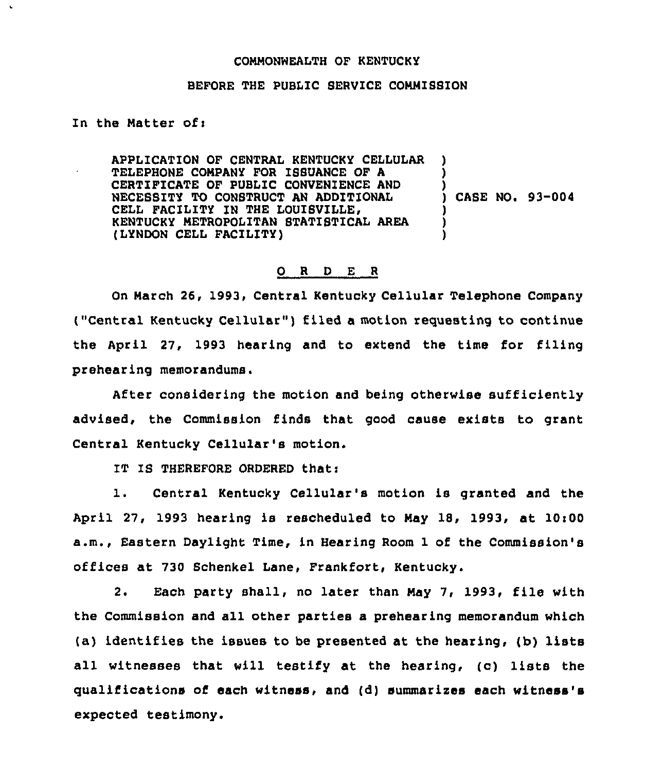## CONMONWEALTH OF KENTUCKY

## BEFORE THE PUBLIC SERVICE CONMIBSION

## In the Natter ofi

APPLICATION OF CENTRAL KENTUCKY CELLULAR TELEPHONE COMPANY FOR ISSUANCE OF A CERTIFICATE OF PUBLIC CONVENIENCE AND NECESSITY TO CONSTRUCT AN ADDITIONAL CELL FACILITY IN THE LOUISVILLE, KENTUCKY METROPOLITAN STATISTICAL AREA (LYNDON CELL FACILITY) ) ) ) ) CABE NO. 93-004 ) ) )

## 0 <sup>R</sup> <sup>D</sup> E <sup>R</sup>

On Narch 26, 1993, Central Kentucky Cellular Telephone Company ("Central Kentucky Cellular" ) filed <sup>a</sup> motion requesting to continue the April 27, 1993 hearing and to extend the time for filing prehearing memorandums.

After considering the motion and being otherwise sufficiently advised, the Commission finds that good cause exists to grant Central Kentucky Cellular's motion.

IT IS THEREFORE ORDERED that:

1. Central Kentucky Cellular's motion is granted and the April 27, 1993 hearing is rescheduled to May 18, 1993, at  $10:00$ a.m., Eastern Daylight Time, in Hearing Room 1 of the Commission's offices at 730 Schenkel Lane, Frankfort, Kentucky.

2. Each party shall, no later than Nay 7, 1993, file with the Commission and all other parties a prehearing memorandum which (a) identifies the issues to be presented at the hearing, (b) lists all witnesses that will testify at the hearing, (c) lists the qualifications of each witness, and (d) summarizes each witness's expected testimony.